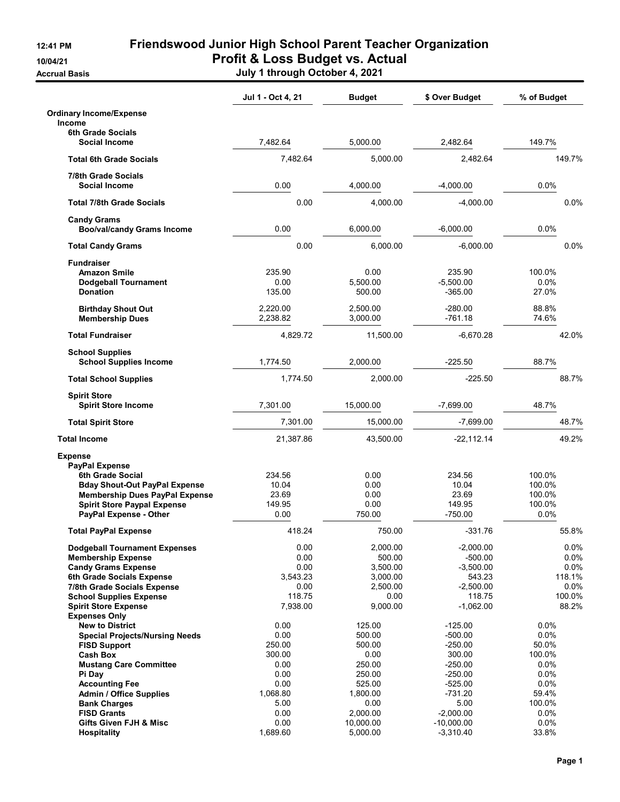**Accrual Basis** 

## 12:41 PM Friendswood Junior High School Parent Teacher Organization 10/04/21 Profit & Loss Budget vs. Actual

|                                                                                                                                                                                                                                         | Jul 1 - Oct 4, 21                                                    | <b>Budget</b>                                                                | \$ Over Budget                                                                                    | % of Budget                                                         |
|-----------------------------------------------------------------------------------------------------------------------------------------------------------------------------------------------------------------------------------------|----------------------------------------------------------------------|------------------------------------------------------------------------------|---------------------------------------------------------------------------------------------------|---------------------------------------------------------------------|
| <b>Ordinary Income/Expense</b><br><b>Income</b>                                                                                                                                                                                         |                                                                      |                                                                              |                                                                                                   |                                                                     |
| 6th Grade Socials<br><b>Social Income</b>                                                                                                                                                                                               | 7,482.64                                                             | 5.000.00                                                                     | 2,482.64                                                                                          | 149.7%                                                              |
| <b>Total 6th Grade Socials</b>                                                                                                                                                                                                          | 7,482.64                                                             | 5,000.00                                                                     | 2,482.64                                                                                          | 149.7%                                                              |
| 7/8th Grade Socials                                                                                                                                                                                                                     |                                                                      |                                                                              |                                                                                                   |                                                                     |
| <b>Social Income</b>                                                                                                                                                                                                                    | 0.00                                                                 | 4,000.00                                                                     | $-4,000.00$                                                                                       | 0.0%                                                                |
| <b>Total 7/8th Grade Socials</b>                                                                                                                                                                                                        | 0.00                                                                 | 4,000.00                                                                     | $-4,000.00$                                                                                       | $0.0\%$                                                             |
| <b>Candy Grams</b><br><b>Boo/val/candy Grams Income</b>                                                                                                                                                                                 | 0.00                                                                 | 6,000.00                                                                     | $-6,000.00$                                                                                       | 0.0%                                                                |
| <b>Total Candy Grams</b>                                                                                                                                                                                                                | 0.00                                                                 | 6,000.00                                                                     | $-6,000.00$                                                                                       | 0.0%                                                                |
| <b>Fundraiser</b><br><b>Amazon Smile</b><br><b>Dodgeball Tournament</b><br><b>Donation</b>                                                                                                                                              | 235.90<br>0.00<br>135.00                                             | 0.00<br>5,500.00<br>500.00                                                   | 235.90<br>$-5,500.00$<br>$-365.00$                                                                | 100.0%<br>0.0%<br>27.0%                                             |
| <b>Birthday Shout Out</b><br><b>Membership Dues</b>                                                                                                                                                                                     | 2,220.00<br>2,238.82                                                 | 2,500.00<br>3,000.00                                                         | $-280.00$<br>$-761.18$                                                                            | 88.8%<br>74.6%                                                      |
| <b>Total Fundraiser</b>                                                                                                                                                                                                                 | 4,829.72                                                             | 11,500.00                                                                    | $-6.670.28$                                                                                       | 42.0%                                                               |
| <b>School Supplies</b><br><b>School Supplies Income</b>                                                                                                                                                                                 | 1,774.50                                                             | 2,000.00                                                                     | $-225.50$                                                                                         | 88.7%                                                               |
| <b>Total School Supplies</b>                                                                                                                                                                                                            | 1,774.50                                                             | 2,000.00                                                                     | $-225.50$                                                                                         | 88.7%                                                               |
| <b>Spirit Store</b><br><b>Spirit Store Income</b>                                                                                                                                                                                       | 7,301.00                                                             | 15,000.00                                                                    | $-7,699.00$                                                                                       | 48.7%                                                               |
| <b>Total Spirit Store</b>                                                                                                                                                                                                               | 7,301.00                                                             | 15,000.00                                                                    | $-7,699.00$                                                                                       | 48.7%                                                               |
| <b>Total Income</b>                                                                                                                                                                                                                     | 21,387.86                                                            | 43,500.00                                                                    | $-22, 112.14$                                                                                     | 49.2%                                                               |
| <b>Expense</b><br><b>PayPal Expense</b><br>6th Grade Social<br><b>Bday Shout-Out PayPal Expense</b><br><b>Membership Dues PayPal Expense</b><br><b>Spirit Store Paypal Expense</b><br>PayPal Expense - Other                            | 234.56<br>10.04<br>23.69<br>149.95<br>0.00                           | 0.00<br>0.00<br>0.00<br>0.00<br>750.00                                       | 234.56<br>10.04<br>23.69<br>149.95<br>$-750.00$                                                   | 100.0%<br>100.0%<br>100.0%<br>100.0%<br>0.0%                        |
| <b>Total PayPal Expense</b>                                                                                                                                                                                                             | 418.24                                                               | 750.00                                                                       | $-331.76$                                                                                         | 55.8%                                                               |
| <b>Dodgeball Tournament Expenses</b><br><b>Membership Expense</b><br><b>Candy Grams Expense</b><br>6th Grade Socials Expense<br>7/8th Grade Socials Expense<br><b>School Supplies Expense</b><br><b>Spirit Store Expense</b>            | 0.00<br>0.00<br>0.00<br>3,543.23<br>0.00<br>118.75<br>7,938.00       | 2,000.00<br>500.00<br>3,500.00<br>3,000.00<br>2,500.00<br>0.00<br>9,000.00   | $-2,000.00$<br>$-500.00$<br>$-3,500.00$<br>543.23<br>$-2,500.00$<br>118.75<br>$-1,062.00$         | $0.0\%$<br>$0.0\%$<br>$0.0\%$<br>118.1%<br>0.0%<br>100.0%<br>88.2%  |
| <b>Expenses Only</b><br><b>New to District</b><br><b>Special Projects/Nursing Needs</b><br><b>FISD Support</b><br><b>Cash Box</b><br><b>Mustang Care Committee</b><br>Pi Day<br><b>Accounting Fee</b><br><b>Admin / Office Supplies</b> | 0.00<br>0.00<br>250.00<br>300.00<br>0.00<br>0.00<br>0.00<br>1,068.80 | 125.00<br>500.00<br>500.00<br>0.00<br>250.00<br>250.00<br>525.00<br>1,800.00 | $-125.00$<br>$-500.00$<br>$-250.00$<br>300.00<br>$-250.00$<br>$-250.00$<br>$-525.00$<br>$-731.20$ | 0.0%<br>0.0%<br>50.0%<br>100.0%<br>$0.0\%$<br>0.0%<br>0.0%<br>59.4% |
| <b>Bank Charges</b><br><b>FISD Grants</b><br>Gifts Given FJH & Misc<br><b>Hospitality</b>                                                                                                                                               | 5.00<br>0.00<br>0.00<br>1,689.60                                     | 0.00<br>2,000.00<br>10,000.00<br>5,000.00                                    | 5.00<br>$-2,000.00$<br>$-10,000.00$<br>$-3,310.40$                                                | 100.0%<br>$0.0\%$<br>0.0%<br>33.8%                                  |